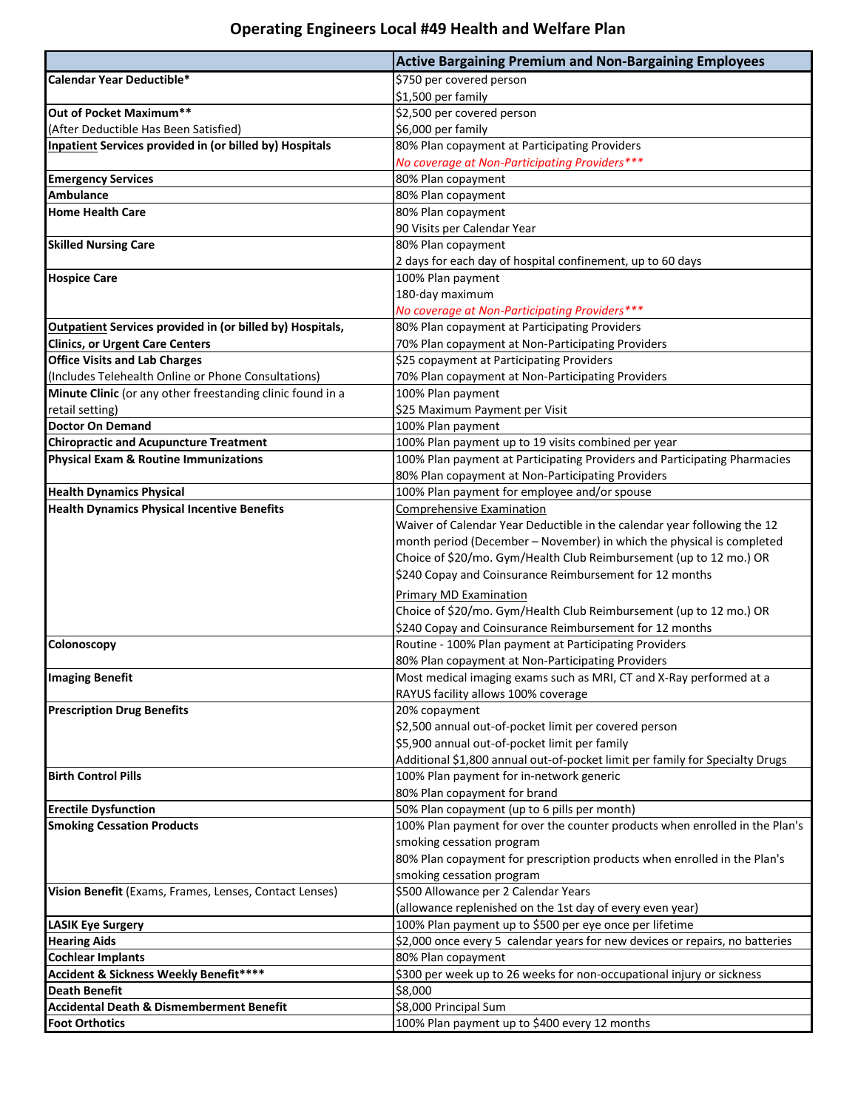## **Operating Engineers Local #49 Health and Welfare Plan**

|                                                                  | <b>Active Bargaining Premium and Non-Bargaining Employees</b>                |
|------------------------------------------------------------------|------------------------------------------------------------------------------|
| Calendar Year Deductible*                                        | \$750 per covered person                                                     |
|                                                                  | \$1,500 per family                                                           |
| Out of Pocket Maximum**                                          | \$2,500 per covered person                                                   |
| (After Deductible Has Been Satisfied)                            | \$6,000 per family                                                           |
| <b>Inpatient Services provided in (or billed by) Hospitals</b>   | 80% Plan copayment at Participating Providers                                |
|                                                                  | No coverage at Non-Participating Providers***                                |
| <b>Emergency Services</b>                                        | 80% Plan copayment                                                           |
| <b>Ambulance</b>                                                 | 80% Plan copayment                                                           |
| <b>Home Health Care</b>                                          | 80% Plan copayment                                                           |
|                                                                  | 90 Visits per Calendar Year                                                  |
| <b>Skilled Nursing Care</b>                                      | 80% Plan copayment                                                           |
|                                                                  | 2 days for each day of hospital confinement, up to 60 days                   |
| <b>Hospice Care</b>                                              | 100% Plan payment                                                            |
|                                                                  | 180-day maximum                                                              |
|                                                                  | No coverage at Non-Participating Providers***                                |
| <b>Outpatient Services provided in (or billed by) Hospitals,</b> | 80% Plan copayment at Participating Providers                                |
| <b>Clinics, or Urgent Care Centers</b>                           | 70% Plan copayment at Non-Participating Providers                            |
| <b>Office Visits and Lab Charges</b>                             | \$25 copayment at Participating Providers                                    |
| (Includes Telehealth Online or Phone Consultations)              | 70% Plan copayment at Non-Participating Providers                            |
| Minute Clinic (or any other freestanding clinic found in a       | 100% Plan payment                                                            |
| retail setting)                                                  | \$25 Maximum Payment per Visit                                               |
| <b>Doctor On Demand</b>                                          | 100% Plan payment                                                            |
| <b>Chiropractic and Acupuncture Treatment</b>                    | 100% Plan payment up to 19 visits combined per year                          |
| <b>Physical Exam &amp; Routine Immunizations</b>                 | 100% Plan payment at Participating Providers and Participating Pharmacies    |
|                                                                  | 80% Plan copayment at Non-Participating Providers                            |
| <b>Health Dynamics Physical</b>                                  | 100% Plan payment for employee and/or spouse                                 |
| <b>Health Dynamics Physical Incentive Benefits</b>               | <b>Comprehensive Examination</b>                                             |
|                                                                  | Waiver of Calendar Year Deductible in the calendar year following the 12     |
|                                                                  | month period (December - November) in which the physical is completed        |
|                                                                  | Choice of \$20/mo. Gym/Health Club Reimbursement (up to 12 mo.) OR           |
|                                                                  | \$240 Copay and Coinsurance Reimbursement for 12 months                      |
|                                                                  | Primary MD Examination                                                       |
|                                                                  | Choice of \$20/mo. Gym/Health Club Reimbursement (up to 12 mo.) OR           |
|                                                                  | \$240 Copay and Coinsurance Reimbursement for 12 months                      |
| Colonoscopy                                                      | Routine - 100% Plan payment at Participating Providers                       |
|                                                                  | 80% Plan copayment at Non-Participating Providers                            |
| <b>Imaging Benefit</b>                                           | Most medical imaging exams such as MRI, CT and X-Ray performed at a          |
|                                                                  | RAYUS facility allows 100% coverage                                          |
| <b>Prescription Drug Benefits</b>                                | 20% copayment                                                                |
|                                                                  | \$2,500 annual out-of-pocket limit per covered person                        |
|                                                                  | \$5,900 annual out-of-pocket limit per family                                |
|                                                                  | Additional \$1,800 annual out-of-pocket limit per family for Specialty Drugs |
| <b>Birth Control Pills</b>                                       | 100% Plan payment for in-network generic                                     |
|                                                                  | 80% Plan copayment for brand                                                 |
| <b>Erectile Dysfunction</b>                                      | 50% Plan copayment (up to 6 pills per month)                                 |
| <b>Smoking Cessation Products</b>                                | 100% Plan payment for over the counter products when enrolled in the Plan's  |
|                                                                  | smoking cessation program                                                    |
|                                                                  | 80% Plan copayment for prescription products when enrolled in the Plan's     |
|                                                                  | smoking cessation program                                                    |
| Vision Benefit (Exams, Frames, Lenses, Contact Lenses)           | \$500 Allowance per 2 Calendar Years                                         |
|                                                                  | (allowance replenished on the 1st day of every even year)                    |
| <b>LASIK Eye Surgery</b>                                         | 100% Plan payment up to \$500 per eye once per lifetime                      |
| <b>Hearing Aids</b>                                              | \$2,000 once every 5 calendar years for new devices or repairs, no batteries |
| <b>Cochlear Implants</b>                                         | 80% Plan copayment                                                           |
| Accident & Sickness Weekly Benefit****                           | \$300 per week up to 26 weeks for non-occupational injury or sickness        |
| <b>Death Benefit</b>                                             | \$8,000                                                                      |
| <b>Accidental Death &amp; Dismemberment Benefit</b>              | \$8,000 Principal Sum                                                        |
| <b>Foot Orthotics</b>                                            | 100% Plan payment up to \$400 every 12 months                                |